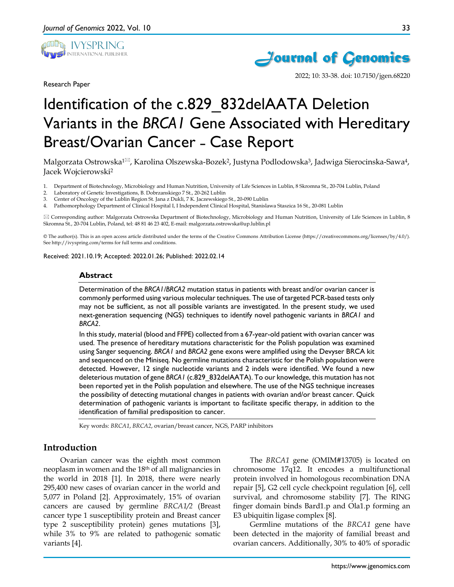

Research Paper



2022; 10: 33-38. doi: 10.7150/jgen.68220

# Identification of the c.829\_832delAATA Deletion Variants in the *BRCA1* Gene Associated with Hereditary Breast/Ovarian Cancer - Case Report

Malgorzata Ostrowska<sup>1 $\boxtimes$ </sup>, Karolina Olszewska-Bozek<sup>2</sup>, Justyna Podlodowska<sup>3</sup>, Jadwiga Sierocinska-Sawa<sup>4</sup>, Jacek Wojcierowski2

- 1. Department of Biotechnology, Microbiology and Human Nutrition, University of Life Sciences in Lublin, 8 Skromna St., 20-704 Lublin, Poland
- 2. Laboratory of Genetic Investigations, B. Dobrzanskiego 7 St., 20-262 Lublin 3. Center of Oncology of the Lublin Region St. Jana z Dukli. 7 K. Jaczewskiego
- 3. Center of Oncology of the Lublin Region St. Jana z Dukli, 7 K. Jaczewskiego St., 20-090 Lublin
- 4. Pathomorphology Department of Clinical Hospital I, I Independent Clinical Hospital, Stanislawa Staszica 16 St., 20-081 Lublin

 $\boxtimes$  Corresponding author: Malgorzata Ostrowska Department of Biotechnology, Microbiology and Human Nutrition, University of Life Sciences in Lublin, 8 Skromna St., 20-704 Lublin, Poland, tel: 48 81 46 23 402, E-mail: malgorzata.ostrowska@up.lublin.pl

© The author(s). This is an open access article distributed under the terms of the Creative Commons Attribution License (https://creativecommons.org/licenses/by/4.0/). See http://ivyspring.com/terms for full terms and conditions.

Received: 2021.10.19; Accepted: 2022.01.26; Published: 2022.02.14

#### **Abstract**

Determination of the *BRCA1/BRCA2* mutation status in patients with breast and/or ovarian cancer is commonly performed using various molecular techniques. The use of targeted PCR-based tests only may not be sufficient, as not all possible variants are investigated. In the present study, we used next-generation sequencing (NGS) techniques to identify novel pathogenic variants in *BRCA1* and *BRCA2*.

In this study, material (blood and FFPE) collected from a 67-year-old patient with ovarian cancer was used. The presence of hereditary mutations characteristic for the Polish population was examined using Sanger sequencing. *BRCA1* and *BRCA2* gene exons were amplified using the Devyser BRCA kit and sequenced on the Miniseq. No germline mutations characteristic for the Polish population were detected. However, 12 single nucleotide variants and 2 indels were identified. We found a new deleterious mutation of gene *BRCA1* (c.829\_832delAATA). To our knowledge, this mutation has not been reported yet in the Polish population and elsewhere. The use of the NGS technique increases the possibility of detecting mutational changes in patients with ovarian and/or breast cancer. Quick determination of pathogenic variants is important to facilitate specific therapy, in addition to the identification of familial predisposition to cancer.

Key words: *BRCA1*, *BRCA2*, ovarian/breast cancer, NGS, PARP inhibitors

#### **Introduction**

Ovarian cancer was the eighth most common neoplasm in women and the 18th of all malignancies in the world in 2018 [1]. In 2018, there were nearly 295,400 new cases of ovarian cancer in the world and 5,077 in Poland [2]. Approximately, 15% of ovarian cancers are caused by germline *BRCA1/2* (Breast cancer type 1 susceptibility protein and Breast cancer type 2 susceptibility protein) genes mutations [3], while 3% to 9% are related to pathogenic somatic variants [4].

The *BRCA1* gene (OMIM#13705) is located on chromosome 17q12. It encodes a multifunctional protein involved in homologous recombination DNA repair [5], G2 cell cycle checkpoint regulation [6], cell survival, and chromosome stability [7]. The RING finger domain binds Bard1.p and Ola1.p forming an E3 ubiquitin ligase complex [8].

Germline mutations of the *BRCA1* gene have been detected in the majority of familial breast and ovarian cancers. Additionally, 30% to 40% of sporadic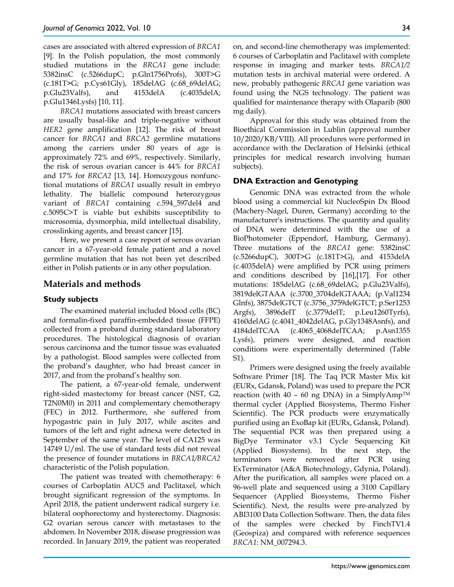cases are associated with altered expression of *BRCA1* [9]. In the Polish population, the most commonly studied mutations in the *BRCA1* gene include: 5382insC (c.5266dupC; p.Gln1756Profs), 300T>G (c.181T>G; p.Cys61Gly), 185delAG (c.68\_69delAG; p.Glu23Valfs), and 4153delA (c.4035delA; p.Glu1346Lysfs) [10, 11].

*BRCA1* mutations associated with breast cancers are usually basal-like and triple-negative without *HER2* gene amplification [12]. The risk of breast cancer for *BRCA1* and *BRCA2* germline mutations among the carriers under 80 years of age is approximately 72% and 69%, respectively. Similarly, the risk of serous ovarian cancer is 44% for *BRCA1* and 17% for *BRCA2* [13, 14]. Homozygous nonfunctional mutations of *BRCA1* usually result in embryo lethality. The biallelic compound heterozygous variant of *BRCA1* containing c.594\_597del4 and c.5095C>T is viable but exhibits susceptibility to microsomia, dysmorphia, mild intellectual disability, crosslinking agents, and breast cancer [15].

Here, we present a case report of serous ovarian cancer in a 67-year-old female patient and a novel germline mutation that has not been yet described either in Polish patients or in any other population.

# **Materials and methods**

#### **Study subjects**

The examined material included blood cells (BC) and formalin-fixed paraffin-embedded tissue (FFPE) collected from a proband during standard laboratory procedures. The histological diagnosis of ovarian serous carcinoma and the tumor tissue was evaluated by a pathologist. Blood samples were collected from the proband's daughter, who had breast cancer in 2017, and from the proband's healthy son.

The patient, a 67-year-old female, underwent right-sided mastectomy for breast cancer (NST, G2, T2N0M0) in 2011 and complementary chemotherapy (FEC) in 2012. Furthermore, she suffered from hypogastric pain in July 2017, while ascites and tumors of the left and right adnexa were detected in September of the same year. The level of CA125 was 14749 U/ml. The use of standard tests did not reveal the presence of founder mutations in *BRCA1/BRCA2* characteristic of the Polish population.

The patient was treated with chemotherapy: 6 courses of Carboplatin AUC5 and Paclitaxel, which brought significant regression of the symptoms. In April 2018, the patient underwent radical surgery i.e. bilateral oophorectomy and hysterectomy. Diagnosis: G2 ovarian serous cancer with metastases to the abdomen. In November 2018, disease progression was recorded. In January 2019, the patient was reoperated

on, and second-line chemotherapy was implemented: 6 courses of Carboplatin and Paclitaxel with complete response in imaging and marker tests. *BRCA1/2* mutation tests in archival material were ordered. A new, probably pathogenic *BRCA1* gene variation was found using the NGS technology. The patient was qualified for maintenance therapy with Olaparib (800 mg daily).

Approval for this study was obtained from the Bioethical Commission in Lublin (approval number 10/2020/KB/VIII). All procedures were performed in accordance with the Declaration of Helsinki (ethical principles for medical research involving human subjects).

## **DNA Extraction and Genotyping**

Genomic DNA was extracted from the whole blood using a commercial kit NucleoSpin Dx Blood (Machery-Nagel, Duren, Germany) according to the manufacturer's instructions. The quantity and quality of DNA were determined with the use of a BioPhotometer (Eppendorf, Hamburg, Germany). Three mutations of the *BRCA1* gene: 5382insC (c.5266dupC), 300T>G (c.181T>G), and 4153delA (c.4035delA) were amplified by PCR using primers and conditions described by [16],[17]. For other mutations: 185delAG (c.68\_69delAG; p.Glu23Valfs), 3819delGTAAA (c.3700\_3704delGTAAA; (p.Val1234 Glnfs), 3875delGTCT (c.3756\_3759delGTCT; p.Ser1253 Argfs), 3896delT (c.3779delT; p.Leu1260Tyrfs), 4160delAG (c.4041\_4042delAG, p.Gly1348Asnfs), and 4184delTCAA (c.4065\_4068delTCAA; p.Asn1355 Lysfs), primers were designed, and reaction conditions were experimentally determined (Table S1).

Primers were designed using the freely available Software Primer [18]. The Taq PCR Master Mix kit (EURx, Gdansk, Poland) was used to prepare the PCR reaction (with  $40 - 60$  ng DNA) in a SimplyAmp<sup>TM</sup> thermal cycler (Applied Biosystems, Thermo Fisher Scientific). The PCR products were enzymatically purified using an ExoBap kit (EURx, Gdansk, Poland). The sequential PCR was then prepared using a BigDye Terminator v3.1 Cycle Sequencing Kit (Applied Biosystems). In the next step, the terminators were removed after PCR using ExTerminator (A&A Biotechnology, Gdynia, Poland). After the purification, all samples were placed on a 96-well plate and sequenced using a 3100 Capillary Sequencer (Applied Biosystems, Thermo Fisher Scientific). Next, the results were pre-analyzed by ABI3100 Data Collection Software. Then, the data files of the samples were checked by FinchTV1.4 (Geospiza) and compared with reference sequences *BRCA1*: NM\_007294.3.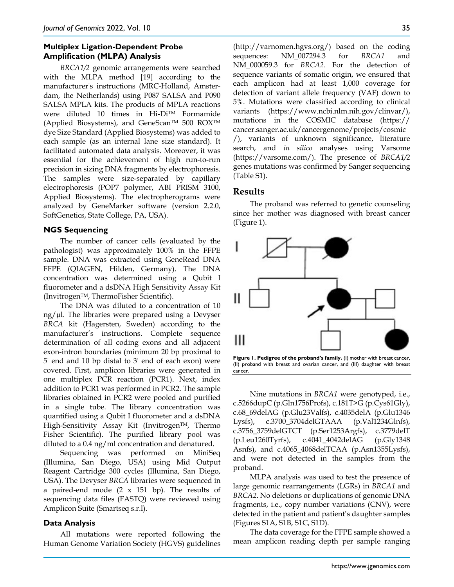# **Multiplex Ligation-Dependent Probe Amplification (MLPA) Analysis**

*BRCA1/2* genomic arrangements were searched with the MLPA method [19] according to the manufacturer's instructions (MRC-Holland, Amsterdam, the Netherlands) using P087 SALSA and P090 SALSA MPLA kits. The products of MPLA reactions were diluted 10 times in Hi-DiTM Formamide (Applied Biosystems), and GeneScan™ 500 ROX™ dye Size Standard (Applied Biosystems) was added to each sample (as an internal lane size standard). It facilitated automated data analysis. Moreover, it was essential for the achievement of high run-to-run precision in sizing DNA fragments by electrophoresis. The samples were size-separated by capillary electrophoresis (POP7 polymer, ABI PRISM 3100, Applied Biosystems). The electropherograms were analyzed by GeneMarker software (version 2.2.0, SoftGenetics, State College, PA, USA).

## **NGS Sequencing**

The number of cancer cells (evaluated by the pathologist) was approximately 100% in the FFPE sample. DNA was extracted using GeneRead DNA FFPE (QIAGEN, Hilden, Germany). The DNA concentration was determined using a Qubit I fluorometer and a dsDNA High Sensitivity Assay Kit (InvitrogenTM, ThermoFisher Scientific).

The DNA was diluted to a concentration of 10 ng/µl. The libraries were prepared using a Devyser *BRCA* kit (Hagersten, Sweden) according to the manufacturer's instructions. Complete sequence determination of all coding exons and all adjacent exon-intron boundaries (minimum 20 bp proximal to 5' end and 10 bp distal to 3' end of each exon) were covered. First, amplicon libraries were generated in one multiplex PCR reaction (PCR1). Next, index addition to PCR1 was performed in PCR2. The sample libraries obtained in PCR2 were pooled and purified in a single tube. The library concentration was quantified using a Qubit I fluorometer and a dsDNA High-Sensitivity Assay Kit (Invitrogen™, Thermo Fisher Scientific). The purified library pool was diluted to a 0.4 ng/ml concentration and denatured.

Sequencing was performed on MiniSeq (Illumina, San Diego, USA) using Mid Output Reagent Cartridge 300 cycles (Illumina, San Diego, USA). The Devyser *BRCA* libraries were sequenced in a paired-end mode  $(2 \times 151$  bp). The results of sequencing data files (FASTQ) were reviewed using Amplicon Suite (Smartseq s.r.l).

#### **Data Analysis**

All mutations were reported following the Human Genome Variation Society (HGVS) guidelines (http://varnomen.hgvs.org/) based on the coding sequences: NM\_007294.3 for *BRCA1* and NM\_000059.3 for *BRCA2*. For the detection of sequence variants of somatic origin, we ensured that each amplicon had at least 1,000 coverage for detection of variant allele frequency (VAF) down to 5%. Mutations were classified according to clinical variants (https://www.ncbi.nlm.nih.gov/clinvar/), mutations in the COSMIC database (https:// cancer.sanger.ac.uk/cancergenome/projects/cosmic /), variants of unknown significance, literature search, and *in silico* analyses using Varsome (https://varsome.com/). The presence of *BRCA1/2* genes mutations was confirmed by Sanger sequencing (Table S1).

# **Results**

The proband was referred to genetic counseling since her mother was diagnosed with breast cancer (Figure 1).



**Figure 1. Pedigree of the proband's family.** (I) mother with breast cancer, (II) proband with breast and ovarian cancer, and (III) daughter with breast cancer.

Nine mutations in *BRCA1* were genotyped, i.e., c.5266dupC (p.Gln1756Profs), c.181T>G (p.Cys61Gly), c.68\_69delAG (p.Glu23Valfs), c.4035delA (p.Glu1346 Lysfs), c.3700\_3704delGTAAA (p.Val1234Glnfs), c.3756\_3759delGTCT (p.Ser1253Argfs), c.3779delT (p.Leu1260Tyrfs), c.4041\_4042delAG (p.Gly1348 Asnfs), and c.4065\_4068delTCAA (p.Asn1355Lysfs), and were not detected in the samples from the proband.

MLPA analysis was used to test the presence of large genomic rearrangements (LGRs) in *BRCA1* and *BRCA2*. No deletions or duplications of genomic DNA fragments, i.e., copy number variations (CNV), were detected in the patient and patient's daughter samples (Figures S1A, S1B, S1C, S1D).

The data coverage for the FFPE sample showed a mean amplicon reading depth per sample ranging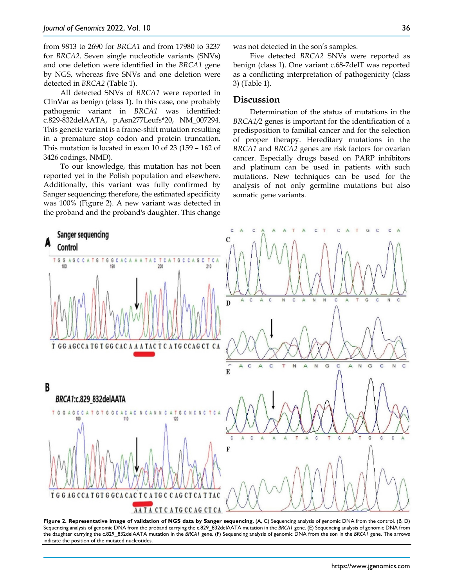from 9813 to 2690 for *BRCA1* and from 17980 to 3237 for *BRCA2*. Seven single nucleotide variants (SNVs) and one deletion were identified in the *BRCA1* gene by NGS, whereas five SNVs and one deletion were detected in *BRCA2* (Table 1).

All detected SNVs of *BRCA1* were reported in ClinVar as benign (class 1). In this case, one probably pathogenic variant in *BRCA1* was identified: c.829-832delAATA, p.Asn277Leufs\*20, NM\_007294. This genetic variant is a frame-shift mutation resulting in a premature stop codon and protein truncation. This mutation is located in exon 10 of 23 (159 – 162 of 3426 codings, NMD).

To our knowledge, this mutation has not been reported yet in the Polish population and elsewhere. Additionally, this variant was fully confirmed by Sanger sequencing; therefore, the estimated specificity was 100% (Figure 2). A new variant was detected in the proband and the proband's daughter. This change

was not detected in the son's samples.

Five detected *BRCA2* SNVs were reported as benign (class 1). One variant c.68-7delT was reported as a conflicting interpretation of pathogenicity (class 3) (Table 1).

## **Discussion**

Determination of the status of mutations in the *BRCA1/2* genes is important for the identification of a predisposition to familial cancer and for the selection of proper therapy. Hereditary mutations in the *BRCA1* and *BRCA2* genes are risk factors for ovarian cancer. Especially drugs based on PARP inhibitors and platinum can be used in patients with such mutations. New techniques can be used for the analysis of not only germline mutations but also somatic gene variants.



**Figure 2. Representative image of validation of NGS data by Sanger sequencing.** (A, C) Sequencing analysis of genomic DNA from the control. (B, D) Sequencing analysis of genomic DNA from the proband carrying the c.829\_832delAATA mutation in the *BRCA1* gene. (E) Sequencing analysis of genomic DNA from the daughter carrying the c.829\_832delAATA mutation in the *BRCA1* gene. (F) Sequencing analysis of genomic DNA from the son in the *BRCA1* gene. The arrows indicate the position of the mutated nucleotides.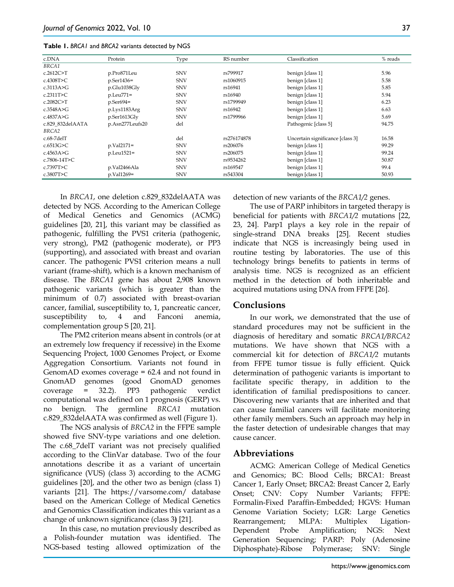| c.DNA            | Protein         | Type       | RS number   | Classification                   | % reads |
|------------------|-----------------|------------|-------------|----------------------------------|---------|
| BRCA1            |                 |            |             |                                  |         |
| c.2612C > T      | p.Pro871Leu     | <b>SNV</b> | rs799917    | benign [class 1]                 | 5.96    |
| c.4308T>C        | p.Ser1436=      | <b>SNV</b> | rs1060915   | benign [class 1]                 | 5.58    |
| c.3113A>G        | p.Glu1038Gly    | <b>SNV</b> | rs16941     | benign [class 1]                 | 5.85    |
| c.2311T>C        | p.Leu771=       | <b>SNV</b> | rs16940     | benign [class 1]                 | 5.94    |
| c.2082C > T      | $p.Ser694=$     | <b>SNV</b> | rs1799949   | benign [class 1]                 | 6.23    |
| c.3548A > G      | p.Lys1183Arg    | <b>SNV</b> | rs16942     | benign [class 1]                 | 6.63    |
| c.4837A $>G$     | p.Ser1613Gly    | <b>SNV</b> | rs1799966   | benign [class 1]                 | 5.69    |
| c.829 832delAATA | p.Asn277Leufs20 | del        |             | Pathogenic [class 5]             | 94.75   |
| BRCA2            |                 |            |             |                                  |         |
| $c.68-7delT$     |                 | del        | rs276174878 | Uncertain significance [class 3] | 16.58   |
| c.6513G>C        | p.Val2171=      | <b>SNV</b> | rs206076    | benign [class 1]                 | 99.29   |
| c.4563A $\geq$ G | p.Leu1521=      | <b>SNV</b> | rs206075    | benign [class 1]                 | 99.24   |
| c.7806-14T>C     |                 | <b>SNV</b> | rs9534262   | benign [class 1]                 | 50.87   |
| c.7397T>C        | p.Val2466Ala    | <b>SNV</b> | rs169547    | benign [class 1]                 | 99.4    |
| c.3807T>C        | p.Val1269=      | <b>SNV</b> | rs543304    | benign [class 1]                 | 50.93   |

| Table 1. BRCA1 and BRCA2 variants detected by NGS |
|---------------------------------------------------|
|---------------------------------------------------|

In *BRCA1*, one deletion c.829\_832delAATA was detected by NGS. According to the American College of Medical Genetics and Genomics (ACMG) guidelines [20, 21], this variant may be classified as pathogenic, fulfilling the PVS1 criteria (pathogenic, very strong), PM2 (pathogenic moderate), or PP3 (supporting), and associated with breast and ovarian cancer. The pathogenic PVS1 criterion means a null variant (frame-shift), which is a known mechanism of disease. The *BRCA1* gene has about 2,908 known pathogenic variants (which is greater than the minimum of 0.7) associated with breast-ovarian cancer, familial, susceptibility to, 1, pancreatic cancer, susceptibility to, 4 and Fanconi anemia, complementation group S [20, 21].

The PM2 criterion means absent in controls (or at an extremely low frequency if recessive) in the Exome Sequencing Project, 1000 Genomes Project, or Exome Aggregation Consortium. Variants not found in GenomAD exomes coverage = 62.4 and not found in GnomAD genomes (good GnomAD genomes coverage = 32.2). PP3 pathogenic verdict computational was defined on 1 prognosis (GERP) vs. no benign. The germline *BRCA1* mutation c.829\_832delAATA was confirmed as well (Figure 1).

The NGS analysis of *BRCA2* in the FFPE sample showed five SNV-type variations and one deletion. The c.68\_7delT variant was not precisely qualified according to the ClinVar database. Two of the four annotations describe it as a variant of uncertain significance (VUS) (class 3) according to the ACMG guidelines [20], and the other two as benign (class 1) variants [21]. The https://varsome.com/ database based on the American College of Medical Genetics and Genomics Classification indicates this variant as a change of unknown significance (class 3**)** [21].

In this case, no mutation previously described as a Polish-founder mutation was identified. The NGS-based testing allowed optimization of the detection of new variants of the *BRCA1/2* genes.

The use of PARP inhibitors in targeted therapy is beneficial for patients with *BRCA1/2* mutations [22, 23, 24]. Parp1 plays a key role in the repair of single-strand DNA breaks [25]. Recent studies indicate that NGS is increasingly being used in routine testing by laboratories. The use of this technology brings benefits to patients in terms of analysis time. NGS is recognized as an efficient method in the detection of both inheritable and acquired mutations using DNA from FFPE [26].

#### **Conclusions**

In our work, we demonstrated that the use of standard procedures may not be sufficient in the diagnosis of hereditary and somatic *BRCA1/BRCA2* mutations. We have shown that NGS with a commercial kit for detection of *BRCA1/2* mutants from FFPE tumor tissue is fully efficient. Quick determination of pathogenic variants is important to facilitate specific therapy, in addition to the identification of familial predispositions to cancer. Discovering new variants that are inherited and that can cause familial cancers will facilitate monitoring other family members. Such an approach may help in the faster detection of undesirable changes that may cause cancer.

# **Abbreviations**

ACMG: American College of Medical Genetics and Genomics; BC: Blood Cells; BRCA1: Breast Cancer 1, Early Onset; BRCA2: Breast Cancer 2, Early Onset; CNV: Copy Number Variants; FFPE: Formalin-Fixed Paraffin-Embedded; HGVS: Human Genome Variation Society; LGR: Large Genetics Rearrangement; MLPA: Multiplex Ligation-Dependent Probe Amplification; NGS: Next Generation Sequencing; PARP: Poly (Adenosine Diphosphate)-Ribose Polymerase; SNV: Single